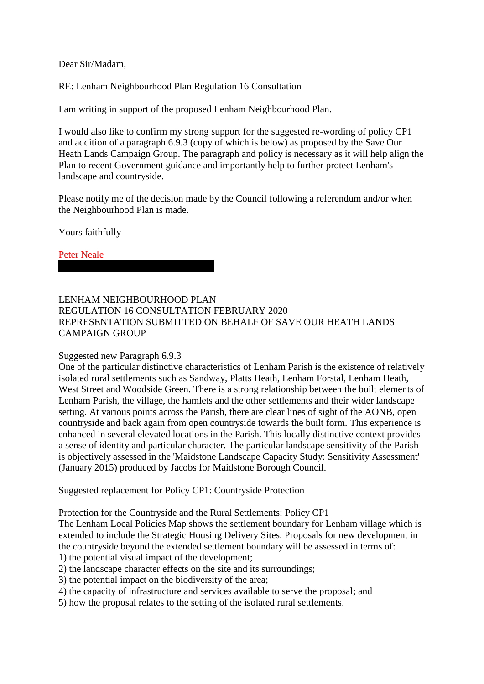Dear Sir/Madam,

RE: Lenham Neighbourhood Plan Regulation 16 Consultation

I am writing in support of the proposed Lenham Neighbourhood Plan.

I would also like to confirm my strong support for the suggested re-wording of policy CP1 and addition of a paragraph 6.9.3 (copy of which is below) as proposed by the Save Our Heath Lands Campaign Group. The paragraph and policy is necessary as it will help align the Plan to recent Government guidance and importantly help to further protect Lenham's landscape and countryside.

Please notify me of the decision made by the Council following a referendum and/or when the Neighbourhood Plan is made.

Yours faithfully

Peter Neale

## LENHAM NEIGHBOURHOOD PLAN REGULATION 16 CONSULTATION FEBRUARY 2020 REPRESENTATION SUBMITTED ON BEHALF OF SAVE OUR HEATH LANDS CAMPAIGN GROUP

Suggested new Paragraph 6.9.3

One of the particular distinctive characteristics of Lenham Parish is the existence of relatively isolated rural settlements such as Sandway, Platts Heath, Lenham Forstal, Lenham Heath, West Street and Woodside Green. There is a strong relationship between the built elements of Lenham Parish, the village, the hamlets and the other settlements and their wider landscape setting. At various points across the Parish, there are clear lines of sight of the AONB, open countryside and back again from open countryside towards the built form. This experience is enhanced in several elevated locations in the Parish. This locally distinctive context provides a sense of identity and particular character. The particular landscape sensitivity of the Parish is objectively assessed in the 'Maidstone Landscape Capacity Study: Sensitivity Assessment' (January 2015) produced by Jacobs for Maidstone Borough Council.

Suggested replacement for Policy CP1: Countryside Protection

Protection for the Countryside and the Rural Settlements: Policy CP1

The Lenham Local Policies Map shows the settlement boundary for Lenham village which is extended to include the Strategic Housing Delivery Sites. Proposals for new development in the countryside beyond the extended settlement boundary will be assessed in terms of:

1) the potential visual impact of the development;

- 2) the landscape character effects on the site and its surroundings;
- 3) the potential impact on the biodiversity of the area;
- 4) the capacity of infrastructure and services available to serve the proposal; and
- 5) how the proposal relates to the setting of the isolated rural settlements.